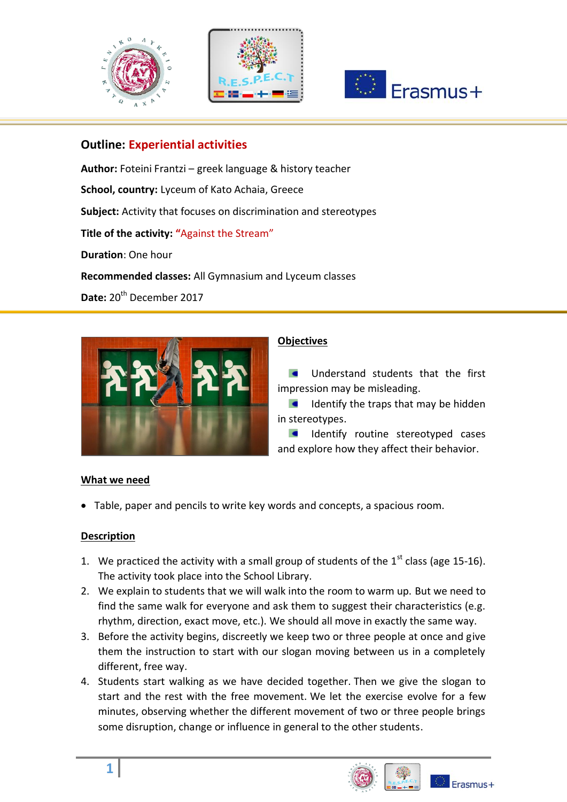





# **Outline: Εxperiential activities**

**Author:** Foteini Frantzi – greek language & history teacher **School, country:** Lyceum of Kato Achaia, Greece **Subject:** Activity that focuses on discrimination and stereotypes **Title of the activity: "**Against the Stream" **Duration**: One hour **Recommended classes:** All Gymnasium and Lyceum classes Date: 20<sup>th</sup> December 2017



## **Objectives**

Understand students that the first  $\bullet$ impression may be misleading.

 $\blacksquare$ Identify the traps that may be hidden in stereotypes.

 $\blacksquare$ Identify routine stereotyped cases and explore how they affect their behavior.

### **What we need**

Table, paper and pencils to write key words and concepts, a spacious room.

### **Description**

- 1. We practiced the activity with a small group of students of the  $1<sup>st</sup>$  class (age 15-16). The activity took place into the School Library.
- 2. We explain to students that we will walk into the room to warm up. But we need to find the same walk for everyone and ask them to suggest their characteristics (e.g. rhythm, direction, exact move, etc.). We should all move in exactly the same way.
- 3. Before the activity begins, discreetly we keep two or three people at once and give them the instruction to start with our slogan moving between us in a completely different, free way.
- 4. Students start walking as we have decided together. Then we give the slogan to start and the rest with the free movement. We let the exercise evolve for a few minutes, observing whether the different movement of two or three people brings some disruption, change or influence in general to the other students.